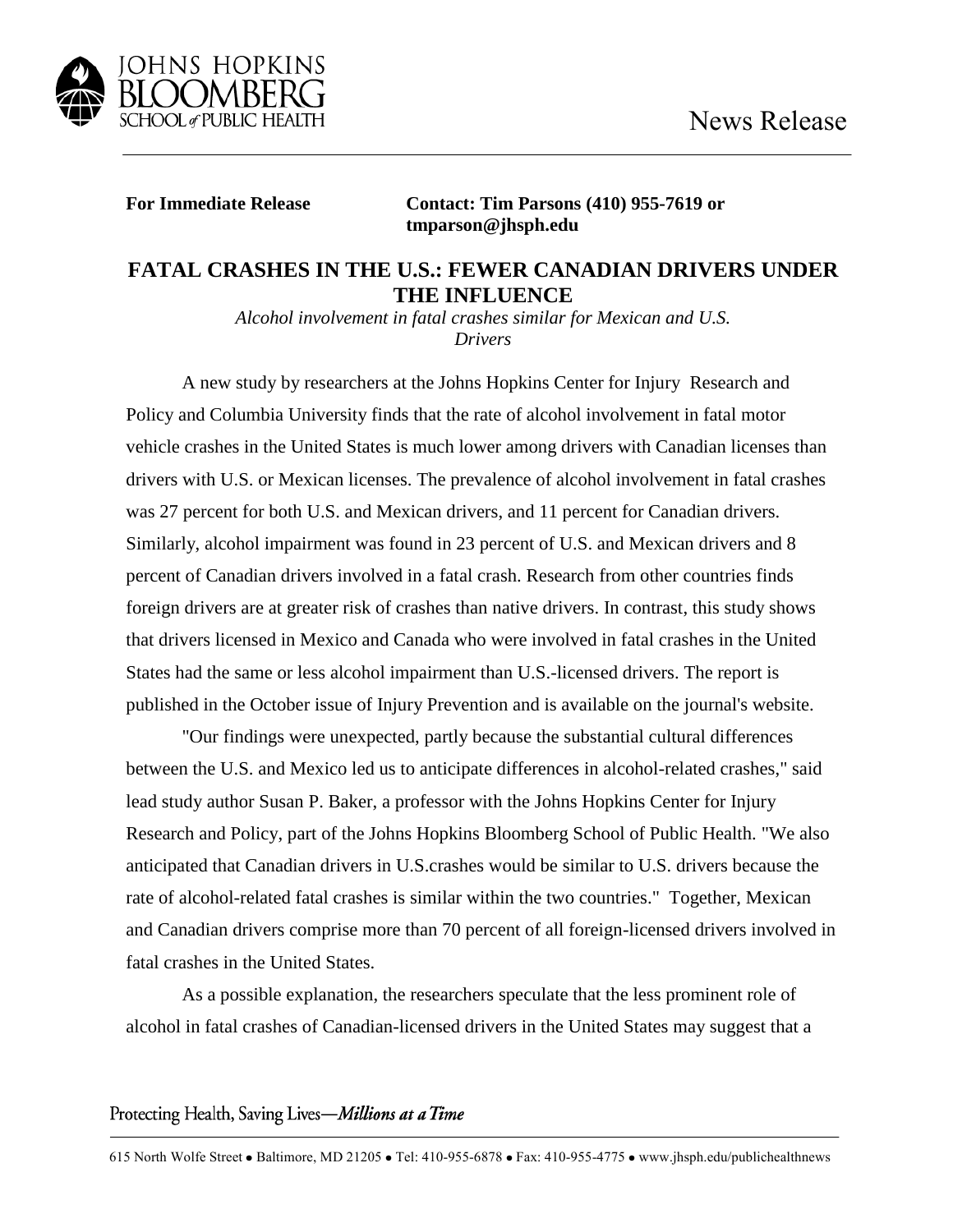

**For Immediate Release Contact: Tim Parsons (410) 955-7619 or tmparson@jhsph.edu**

## **FATAL CRASHES IN THE U.S.: FEWER CANADIAN DRIVERS UNDER THE INFLUENCE**

*Alcohol involvement in fatal crashes similar for Mexican and U.S. Drivers*

A new study by researchers at the Johns Hopkins Center for Injury Research and Policy and Columbia University finds that the rate of alcohol involvement in fatal motor vehicle crashes in the United States is much lower among drivers with Canadian licenses than drivers with U.S. or Mexican licenses. The prevalence of alcohol involvement in fatal crashes was 27 percent for both U.S. and Mexican drivers, and 11 percent for Canadian drivers. Similarly, alcohol impairment was found in 23 percent of U.S. and Mexican drivers and 8 percent of Canadian drivers involved in a fatal crash. Research from other countries finds foreign drivers are at greater risk of crashes than native drivers. In contrast, this study shows that drivers licensed in Mexico and Canada who were involved in fatal crashes in the United States had the same or less alcohol impairment than U.S.-licensed drivers. The report is published in the October issue of Injury Prevention and is available on the journal's website.

"Our findings were unexpected, partly because the substantial cultural differences between the U.S. and Mexico led us to anticipate differences in alcohol-related crashes," said lead study author Susan P. Baker, a professor with the Johns Hopkins Center for Injury Research and Policy, part of the Johns Hopkins Bloomberg School of Public Health. "We also anticipated that Canadian drivers in U.S.crashes would be similar to U.S. drivers because the rate of alcohol-related fatal crashes is similar within the two countries." Together, Mexican and Canadian drivers comprise more than 70 percent of all foreign-licensed drivers involved in fatal crashes in the United States.

As a possible explanation, the researchers speculate that the less prominent role of alcohol in fatal crashes of Canadian-licensed drivers in the United States may suggest that a

Protecting Health, Saving Lives—Millions at a Time